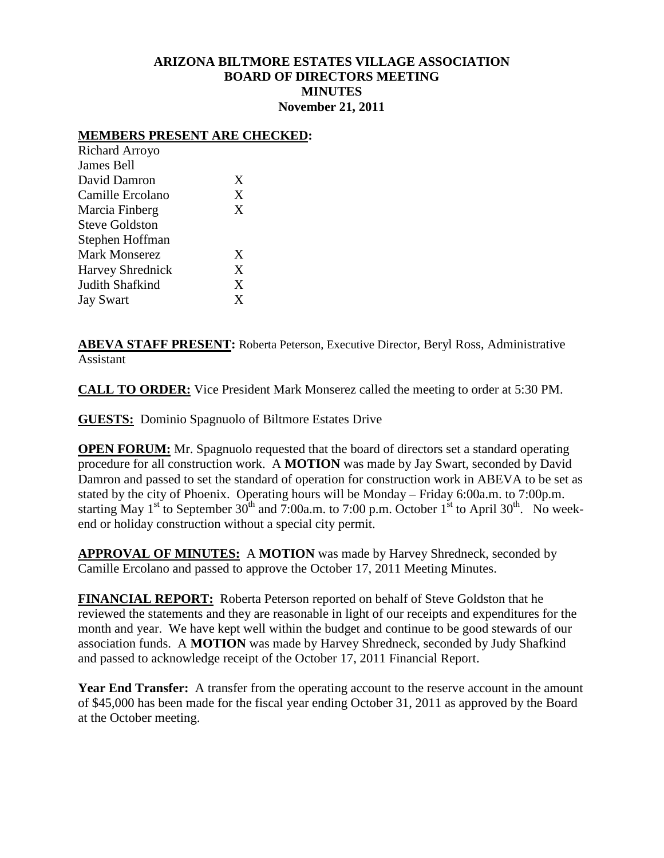## **ARIZONA BILTMORE ESTATES VILLAGE ASSOCIATION BOARD OF DIRECTORS MEETING MINUTES November 21, 2011**

#### **MEMBERS PRESENT ARE CHECKED:**

| <b>Richard Arroyo</b>   |   |
|-------------------------|---|
| James Bell              |   |
| David Damron            | X |
| Camille Ercolano        | X |
| Marcia Finberg          | X |
| <b>Steve Goldston</b>   |   |
| Stephen Hoffman         |   |
| <b>Mark Monserez</b>    | X |
| <b>Harvey Shrednick</b> | X |
| Judith Shafkind         | X |
| <b>Jay Swart</b>        | X |

**ABEVA STAFF PRESENT:** Roberta Peterson, Executive Director, Beryl Ross, Administrative Assistant

**CALL TO ORDER:** Vice President Mark Monserez called the meeting to order at 5:30 PM.

**GUESTS:** Dominio Spagnuolo of Biltmore Estates Drive

**OPEN FORUM:** Mr. Spagnuolo requested that the board of directors set a standard operating procedure for all construction work. A **MOTION** was made by Jay Swart, seconded by David Damron and passed to set the standard of operation for construction work in ABEVA to be set as stated by the city of Phoenix. Operating hours will be Monday – Friday 6:00a.m. to 7:00p.m. starting May 1<sup>st</sup> to September 30<sup>th</sup> and 7:00a.m. to 7:00 p.m. October 1<sup>st</sup> to April 30<sup>th</sup>. No weekend or holiday construction without a special city permit.

**APPROVAL OF MINUTES:** A **MOTION** was made by Harvey Shredneck, seconded by Camille Ercolano and passed to approve the October 17, 2011 Meeting Minutes.

**FINANCIAL REPORT:** Roberta Peterson reported on behalf of Steve Goldston that he reviewed the statements and they are reasonable in light of our receipts and expenditures for the month and year. We have kept well within the budget and continue to be good stewards of our association funds. A **MOTION** was made by Harvey Shredneck, seconded by Judy Shafkind and passed to acknowledge receipt of the October 17, 2011 Financial Report.

**Year End Transfer:** A transfer from the operating account to the reserve account in the amount of \$45,000 has been made for the fiscal year ending October 31, 2011 as approved by the Board at the October meeting.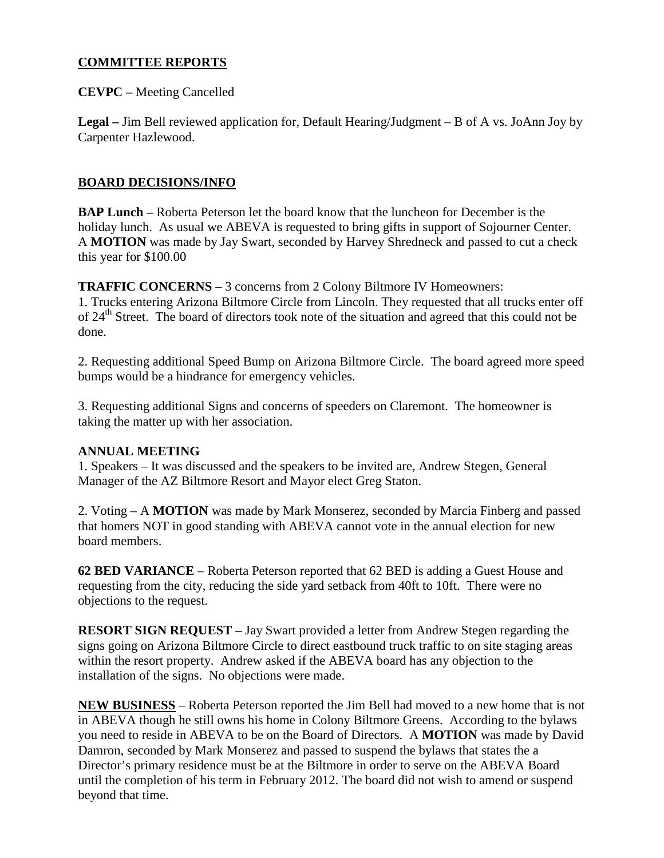# **COMMITTEE REPORTS**

**CEVPC –** Meeting Cancelled

**Legal –** Jim Bell reviewed application for, Default Hearing/Judgment – B of A vs. JoAnn Joy by Carpenter Hazlewood.

## **BOARD DECISIONS/INFO**

**BAP Lunch –** Roberta Peterson let the board know that the luncheon for December is the holiday lunch. As usual we ABEVA is requested to bring gifts in support of Sojourner Center. A **MOTION** was made by Jay Swart, seconded by Harvey Shredneck and passed to cut a check this year for \$100.00

**TRAFFIC CONCERNS** – 3 concerns from 2 Colony Biltmore IV Homeowners: 1. Trucks entering Arizona Biltmore Circle from Lincoln. They requested that all trucks enter off of 24<sup>th</sup> Street. The board of directors took note of the situation and agreed that this could not be done.

2. Requesting additional Speed Bump on Arizona Biltmore Circle. The board agreed more speed bumps would be a hindrance for emergency vehicles.

3. Requesting additional Signs and concerns of speeders on Claremont. The homeowner is taking the matter up with her association.

### **ANNUAL MEETING**

1. Speakers – It was discussed and the speakers to be invited are, Andrew Stegen, General Manager of the AZ Biltmore Resort and Mayor elect Greg Staton.

2. Voting – A **MOTION** was made by Mark Monserez, seconded by Marcia Finberg and passed that homers NOT in good standing with ABEVA cannot vote in the annual election for new board members.

**62 BED VARIANCE** – Roberta Peterson reported that 62 BED is adding a Guest House and requesting from the city, reducing the side yard setback from 40ft to 10ft. There were no objections to the request.

**RESORT SIGN REQUEST –** Jay Swart provided a letter from Andrew Stegen regarding the signs going on Arizona Biltmore Circle to direct eastbound truck traffic to on site staging areas within the resort property. Andrew asked if the ABEVA board has any objection to the installation of the signs. No objections were made.

**NEW BUSINESS** – Roberta Peterson reported the Jim Bell had moved to a new home that is not in ABEVA though he still owns his home in Colony Biltmore Greens. According to the bylaws you need to reside in ABEVA to be on the Board of Directors. A **MOTION** was made by David Damron, seconded by Mark Monserez and passed to suspend the bylaws that states the a Director's primary residence must be at the Biltmore in order to serve on the ABEVA Board until the completion of his term in February 2012. The board did not wish to amend or suspend beyond that time.